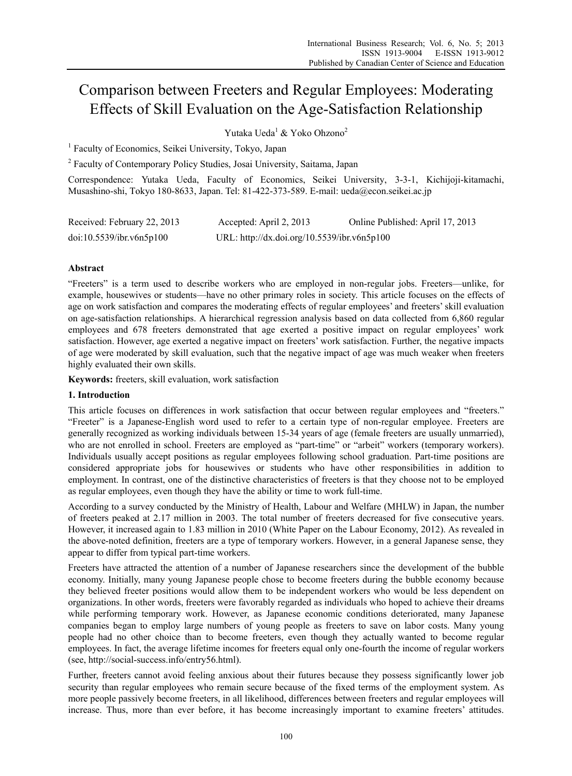# Comparison between Freeters and Regular Employees: Moderating Effects of Skill Evaluation on the Age-Satisfaction Relationship

Yutaka Ueda<sup>1</sup> & Yoko Ohzono<sup>2</sup>

<sup>1</sup> Faculty of Economics, Seikei University, Tokyo, Japan

<sup>2</sup> Faculty of Contemporary Policy Studies, Josai University, Saitama, Japan

Correspondence: Yutaka Ueda, Faculty of Economics, Seikei University, 3-3-1, Kichijoji-kitamachi, Musashino-shi, Tokyo 180-8633, Japan. Tel: 81-422-373-589. E-mail: ueda@econ.seikei.ac.jp

| Received: February 22, 2013 | Accepted: April 2, 2013                     | Online Published: April 17, 2013 |
|-----------------------------|---------------------------------------------|----------------------------------|
| doi:10.5539/ibr.v6n5p100    | URL: http://dx.doi.org/10.5539/ibr.v6n5p100 |                                  |

## **Abstract**

"Freeters" is a term used to describe workers who are employed in non-regular jobs. Freeters—unlike, for example, housewives or students—have no other primary roles in society. This article focuses on the effects of age on work satisfaction and compares the moderating effects of regular employees' and freeters' skill evaluation on age-satisfaction relationships. A hierarchical regression analysis based on data collected from 6,860 regular employees and 678 freeters demonstrated that age exerted a positive impact on regular employees' work satisfaction. However, age exerted a negative impact on freeters' work satisfaction. Further, the negative impacts of age were moderated by skill evaluation, such that the negative impact of age was much weaker when freeters highly evaluated their own skills.

**Keywords:** freeters, skill evaluation, work satisfaction

#### **1. Introduction**

This article focuses on differences in work satisfaction that occur between regular employees and "freeters." "Freeter" is a Japanese-English word used to refer to a certain type of non-regular employee. Freeters are generally recognized as working individuals between 15-34 years of age (female freeters are usually unmarried), who are not enrolled in school. Freeters are employed as "part-time" or "arbeit" workers (temporary workers). Individuals usually accept positions as regular employees following school graduation. Part-time positions are considered appropriate jobs for housewives or students who have other responsibilities in addition to employment. In contrast, one of the distinctive characteristics of freeters is that they choose not to be employed as regular employees, even though they have the ability or time to work full-time.

According to a survey conducted by the Ministry of Health, Labour and Welfare (MHLW) in Japan, the number of freeters peaked at 2.17 million in 2003. The total number of freeters decreased for five consecutive years. However, it increased again to 1.83 million in 2010 (White Paper on the Labour Economy, 2012). As revealed in the above-noted definition, freeters are a type of temporary workers. However, in a general Japanese sense, they appear to differ from typical part-time workers.

Freeters have attracted the attention of a number of Japanese researchers since the development of the bubble economy. Initially, many young Japanese people chose to become freeters during the bubble economy because they believed freeter positions would allow them to be independent workers who would be less dependent on organizations. In other words, freeters were favorably regarded as individuals who hoped to achieve their dreams while performing temporary work. However, as Japanese economic conditions deteriorated, many Japanese companies began to employ large numbers of young people as freeters to save on labor costs. Many young people had no other choice than to become freeters, even though they actually wanted to become regular employees. In fact, the average lifetime incomes for freeters equal only one-fourth the income of regular workers (see, http://social-success.info/entry56.html).

Further, freeters cannot avoid feeling anxious about their futures because they possess significantly lower job security than regular employees who remain secure because of the fixed terms of the employment system. As more people passively become freeters, in all likelihood, differences between freeters and regular employees will increase. Thus, more than ever before, it has become increasingly important to examine freeters' attitudes.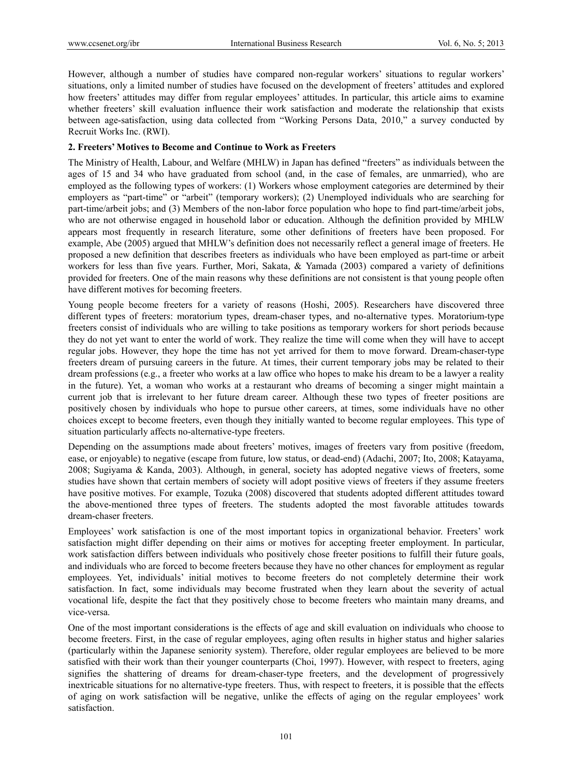However, although a number of studies have compared non-regular workers' situations to regular workers' situations, only a limited number of studies have focused on the development of freeters' attitudes and explored how freeters' attitudes may differ from regular employees' attitudes. In particular, this article aims to examine whether freeters' skill evaluation influence their work satisfaction and moderate the relationship that exists between age-satisfaction, using data collected from "Working Persons Data, 2010," a survey conducted by Recruit Works Inc. (RWI).

#### **2. Freeters' Motives to Become and Continue to Work as Freeters**

The Ministry of Health, Labour, and Welfare (MHLW) in Japan has defined "freeters" as individuals between the ages of 15 and 34 who have graduated from school (and, in the case of females, are unmarried), who are employed as the following types of workers: (1) Workers whose employment categories are determined by their employers as "part-time" or "arbeit" (temporary workers); (2) Unemployed individuals who are searching for part-time/arbeit jobs; and (3) Members of the non-labor force population who hope to find part-time/arbeit jobs, who are not otherwise engaged in household labor or education. Although the definition provided by MHLW appears most frequently in research literature, some other definitions of freeters have been proposed. For example, Abe (2005) argued that MHLW's definition does not necessarily reflect a general image of freeters. He proposed a new definition that describes freeters as individuals who have been employed as part-time or arbeit workers for less than five years. Further, Mori, Sakata, & Yamada (2003) compared a variety of definitions provided for freeters. One of the main reasons why these definitions are not consistent is that young people often have different motives for becoming freeters.

Young people become freeters for a variety of reasons (Hoshi, 2005). Researchers have discovered three different types of freeters: moratorium types, dream-chaser types, and no-alternative types. Moratorium-type freeters consist of individuals who are willing to take positions as temporary workers for short periods because they do not yet want to enter the world of work. They realize the time will come when they will have to accept regular jobs. However, they hope the time has not yet arrived for them to move forward. Dream-chaser-type freeters dream of pursuing careers in the future. At times, their current temporary jobs may be related to their dream professions (e.g., a freeter who works at a law office who hopes to make his dream to be a lawyer a reality in the future). Yet, a woman who works at a restaurant who dreams of becoming a singer might maintain a current job that is irrelevant to her future dream career. Although these two types of freeter positions are positively chosen by individuals who hope to pursue other careers, at times, some individuals have no other choices except to become freeters, even though they initially wanted to become regular employees. This type of situation particularly affects no-alternative-type freeters.

Depending on the assumptions made about freeters' motives, images of freeters vary from positive (freedom, ease, or enjoyable) to negative (escape from future, low status, or dead-end) (Adachi, 2007; Ito, 2008; Katayama, 2008; Sugiyama & Kanda, 2003). Although, in general, society has adopted negative views of freeters, some studies have shown that certain members of society will adopt positive views of freeters if they assume freeters have positive motives. For example, Tozuka (2008) discovered that students adopted different attitudes toward the above-mentioned three types of freeters. The students adopted the most favorable attitudes towards dream-chaser freeters.

Employees' work satisfaction is one of the most important topics in organizational behavior. Freeters' work satisfaction might differ depending on their aims or motives for accepting freeter employment. In particular, work satisfaction differs between individuals who positively chose freeter positions to fulfill their future goals, and individuals who are forced to become freeters because they have no other chances for employment as regular employees. Yet, individuals' initial motives to become freeters do not completely determine their work satisfaction. In fact, some individuals may become frustrated when they learn about the severity of actual vocational life, despite the fact that they positively chose to become freeters who maintain many dreams, and vice-versa.

One of the most important considerations is the effects of age and skill evaluation on individuals who choose to become freeters. First, in the case of regular employees, aging often results in higher status and higher salaries (particularly within the Japanese seniority system). Therefore, older regular employees are believed to be more satisfied with their work than their younger counterparts (Choi, 1997). However, with respect to freeters, aging signifies the shattering of dreams for dream-chaser-type freeters, and the development of progressively inextricable situations for no alternative-type freeters. Thus, with respect to freeters, it is possible that the effects of aging on work satisfaction will be negative, unlike the effects of aging on the regular employees' work satisfaction.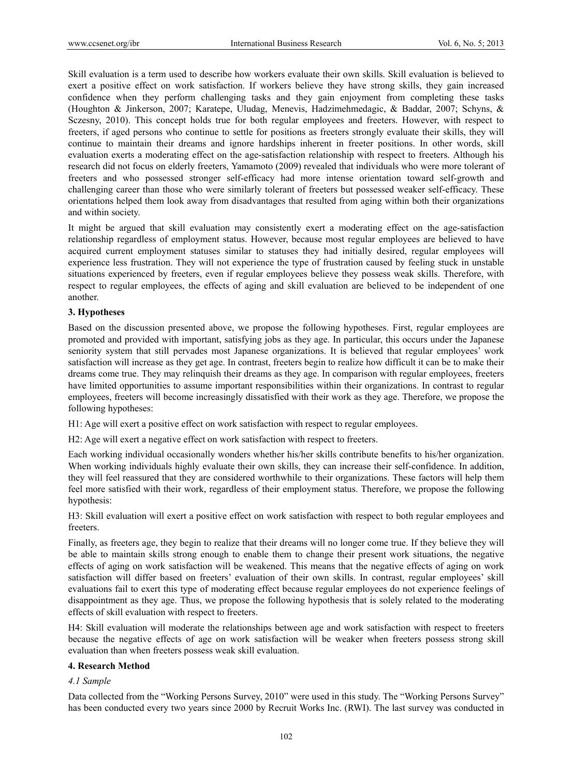Skill evaluation is a term used to describe how workers evaluate their own skills. Skill evaluation is believed to exert a positive effect on work satisfaction. If workers believe they have strong skills, they gain increased confidence when they perform challenging tasks and they gain enjoyment from completing these tasks (Houghton & Jinkerson, 2007; Karatepe, Uludag, Menevis, Hadzimehmedagic, & Baddar, 2007; Schyns, & Sczesny, 2010). This concept holds true for both regular employees and freeters. However, with respect to freeters, if aged persons who continue to settle for positions as freeters strongly evaluate their skills, they will continue to maintain their dreams and ignore hardships inherent in freeter positions. In other words, skill evaluation exerts a moderating effect on the age-satisfaction relationship with respect to freeters. Although his research did not focus on elderly freeters, Yamamoto (2009) revealed that individuals who were more tolerant of freeters and who possessed stronger self-efficacy had more intense orientation toward self-growth and challenging career than those who were similarly tolerant of freeters but possessed weaker self-efficacy. These orientations helped them look away from disadvantages that resulted from aging within both their organizations and within society.

It might be argued that skill evaluation may consistently exert a moderating effect on the age-satisfaction relationship regardless of employment status. However, because most regular employees are believed to have acquired current employment statuses similar to statuses they had initially desired, regular employees will experience less frustration. They will not experience the type of frustration caused by feeling stuck in unstable situations experienced by freeters, even if regular employees believe they possess weak skills. Therefore, with respect to regular employees, the effects of aging and skill evaluation are believed to be independent of one another.

#### **3. Hypotheses**

Based on the discussion presented above, we propose the following hypotheses. First, regular employees are promoted and provided with important, satisfying jobs as they age. In particular, this occurs under the Japanese seniority system that still pervades most Japanese organizations. It is believed that regular employees' work satisfaction will increase as they get age. In contrast, freeters begin to realize how difficult it can be to make their dreams come true. They may relinquish their dreams as they age. In comparison with regular employees, freeters have limited opportunities to assume important responsibilities within their organizations. In contrast to regular employees, freeters will become increasingly dissatisfied with their work as they age. Therefore, we propose the following hypotheses:

H1: Age will exert a positive effect on work satisfaction with respect to regular employees.

H2: Age will exert a negative effect on work satisfaction with respect to freeters.

Each working individual occasionally wonders whether his/her skills contribute benefits to his/her organization. When working individuals highly evaluate their own skills, they can increase their self-confidence. In addition, they will feel reassured that they are considered worthwhile to their organizations. These factors will help them feel more satisfied with their work, regardless of their employment status. Therefore, we propose the following hypothesis:

H3: Skill evaluation will exert a positive effect on work satisfaction with respect to both regular employees and freeters.

Finally, as freeters age, they begin to realize that their dreams will no longer come true. If they believe they will be able to maintain skills strong enough to enable them to change their present work situations, the negative effects of aging on work satisfaction will be weakened. This means that the negative effects of aging on work satisfaction will differ based on freeters' evaluation of their own skills. In contrast, regular employees' skill evaluations fail to exert this type of moderating effect because regular employees do not experience feelings of disappointment as they age. Thus, we propose the following hypothesis that is solely related to the moderating effects of skill evaluation with respect to freeters.

H4: Skill evaluation will moderate the relationships between age and work satisfaction with respect to freeters because the negative effects of age on work satisfaction will be weaker when freeters possess strong skill evaluation than when freeters possess weak skill evaluation.

### **4. Research Method**

#### *4.1 Sample*

Data collected from the "Working Persons Survey, 2010" were used in this study. The "Working Persons Survey" has been conducted every two years since 2000 by Recruit Works Inc. (RWI). The last survey was conducted in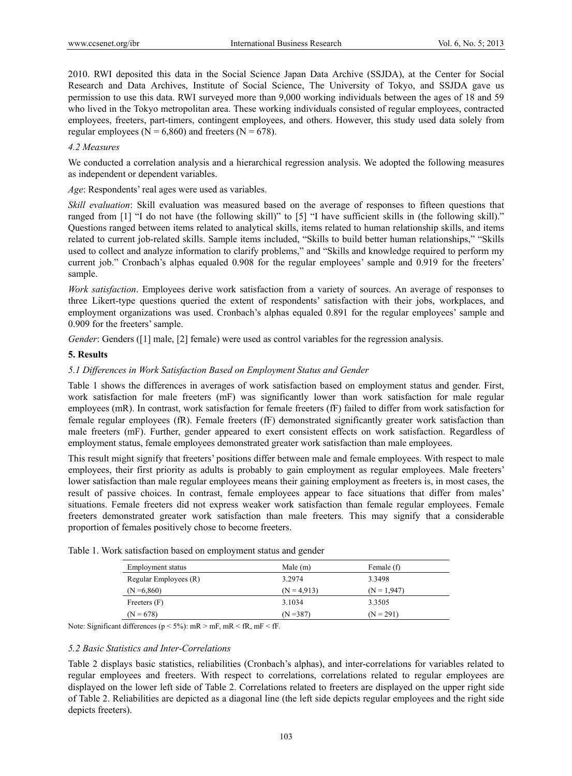2010. RWI deposited this data in the Social Science Japan Data Archive (SSJDA), at the Center for Social Research and Data Archives, Institute of Social Science, The University of Tokyo, and SSJDA gave us permission to use this data. RWI surveyed more than 9,000 working individuals between the ages of 18 and 59 who lived in the Tokyo metropolitan area. These working individuals consisted of regular employees, contracted employees, freeters, part-timers, contingent employees, and others. However, this study used data solely from regular employees ( $N = 6,860$ ) and freeters ( $N = 678$ ).

#### *4.2 Measures*

We conducted a correlation analysis and a hierarchical regression analysis. We adopted the following measures as independent or dependent variables.

*Age*: Respondents' real ages were used as variables.

*Skill evaluation*: Skill evaluation was measured based on the average of responses to fifteen questions that ranged from [1] "I do not have (the following skill)" to [5] "I have sufficient skills in (the following skill)." Questions ranged between items related to analytical skills, items related to human relationship skills, and items related to current job-related skills. Sample items included, "Skills to build better human relationships," "Skills used to collect and analyze information to clarify problems," and "Skills and knowledge required to perform my current job." Cronbach's alphas equaled 0.908 for the regular employees' sample and 0.919 for the freeters' sample.

*Work satisfaction*. Employees derive work satisfaction from a variety of sources. An average of responses to three Likert-type questions queried the extent of respondents' satisfaction with their jobs, workplaces, and employment organizations was used. Cronbach's alphas equaled 0.891 for the regular employees' sample and 0.909 for the freeters' sample.

*Gender*: Genders ([1] male, [2] female) were used as control variables for the regression analysis.

### **5. Results**

### *5.1 Differences in Work Satisfaction Based on Employment Status and Gender*

Table 1 shows the differences in averages of work satisfaction based on employment status and gender. First, work satisfaction for male freeters (mF) was significantly lower than work satisfaction for male regular employees (mR). In contrast, work satisfaction for female freeters (fF) failed to differ from work satisfaction for female regular employees (fR). Female freeters (fF) demonstrated significantly greater work satisfaction than male freeters (mF). Further, gender appeared to exert consistent effects on work satisfaction. Regardless of employment status, female employees demonstrated greater work satisfaction than male employees.

This result might signify that freeters' positions differ between male and female employees. With respect to male employees, their first priority as adults is probably to gain employment as regular employees. Male freeters' lower satisfaction than male regular employees means their gaining employment as freeters is, in most cases, the result of passive choices. In contrast, female employees appear to face situations that differ from males' situations. Female freeters did not express weaker work satisfaction than female regular employees. Female freeters demonstrated greater work satisfaction than male freeters. This may signify that a considerable proportion of females positively chose to become freeters.

| Employment status     | Male $(m)$    | Female (f)    |  |
|-----------------------|---------------|---------------|--|
| Regular Employees (R) | 3.2974        | 3.3498        |  |
| $(N = 6,860)$         | $(N = 4.913)$ | $(N = 1.947)$ |  |
| Freeters $(F)$        | 3.1034        | 3.3505        |  |
| $(N = 678)$           | $(N = 387)$   | $(N = 291)$   |  |
|                       |               |               |  |

Table 1. Work satisfaction based on employment status and gender

Note: Significant differences ( $p < 5\%$ ): mR  $> mF$ , mR  $\leq fR$ , mF  $\leq fF$ .

#### *5.2 Basic Statistics and Inter-Correlations*

Table 2 displays basic statistics, reliabilities (Cronbach's alphas), and inter-correlations for variables related to regular employees and freeters. With respect to correlations, correlations related to regular employees are displayed on the lower left side of Table 2. Correlations related to freeters are displayed on the upper right side of Table 2. Reliabilities are depicted as a diagonal line (the left side depicts regular employees and the right side depicts freeters).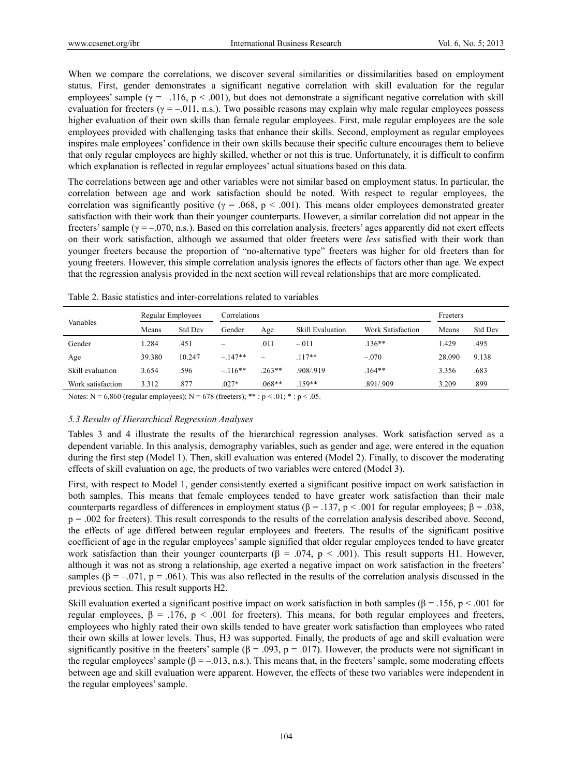When we compare the correlations, we discover several similarities or dissimilarities based on employment status. First, gender demonstrates a significant negative correlation with skill evaluation for the regular employees' sample ( $\gamma = -.116$ ,  $p < .001$ ), but does not demonstrate a significant negative correlation with skill evaluation for freeters ( $\gamma = -011$ , n.s.). Two possible reasons may explain why male regular employees possess higher evaluation of their own skills than female regular employees. First, male regular employees are the sole employees provided with challenging tasks that enhance their skills. Second, employment as regular employees inspires male employees' confidence in their own skills because their specific culture encourages them to believe that only regular employees are highly skilled, whether or not this is true. Unfortunately, it is difficult to confirm which explanation is reflected in regular employees' actual situations based on this data.

The correlations between age and other variables were not similar based on employment status. In particular, the correlation between age and work satisfaction should be noted. With respect to regular employees, the correlation was significantly positive ( $\gamma = .068$ ,  $p < .001$ ). This means older employees demonstrated greater satisfaction with their work than their younger counterparts. However, a similar correlation did not appear in the freeters' sample ( $\gamma = -0.070$ , n.s.). Based on this correlation analysis, freeters' ages apparently did not exert effects on their work satisfaction, although we assumed that older freeters were *less* satisfied with their work than younger freeters because the proportion of "no-alternative type" freeters was higher for old freeters than for young freeters. However, this simple correlation analysis ignores the effects of factors other than age. We expect that the regression analysis provided in the next section will reveal relationships that are more complicated.

|                   | Regular Employees |                          | Correlations |          |                         |                   | Freeters |                |
|-------------------|-------------------|--------------------------|--------------|----------|-------------------------|-------------------|----------|----------------|
| Variables         | Means             | <b>Std Dev</b><br>Gender |              | Age      | <b>Skill Evaluation</b> | Work Satisfaction | Means    | <b>Std Dev</b> |
| Gender            | 1.284             | .451                     | -            | .011     | $-.011$                 | $.136**$          | 1.429    | .495           |
| Age               | 39.380            | 10.247                   | $-.147**$    | -        | $.117**$                | $-.070$           | 28.090   | 9.138          |
| Skill evaluation  | 3.654             | .596                     | $-116**$     | $.263**$ | .908/.919               | $.164**$          | 3.356    | .683           |
| Work satisfaction | 3.312             | .877                     | $.027*$      | $.068**$ | .159**                  | .891/.909         | 3.209    | .899           |

Table 2. Basic statistics and inter-correlations related to variables

Notes:  $N = 6,860$  (regular employees);  $N = 678$  (freeters); \*\*:  $p < .01$ ; \*:  $p < .05$ .

#### *5.3 Results of Hierarchical Regression Analyses*

Tables 3 and 4 illustrate the results of the hierarchical regression analyses. Work satisfaction served as a dependent variable. In this analysis, demography variables, such as gender and age, were entered in the equation during the first step (Model 1). Then, skill evaluation was entered (Model 2). Finally, to discover the moderating effects of skill evaluation on age, the products of two variables were entered (Model 3).

First, with respect to Model 1, gender consistently exerted a significant positive impact on work satisfaction in both samples. This means that female employees tended to have greater work satisfaction than their male counterparts regardless of differences in employment status (β = .137, p < .001 for regular employees; β = .038,  $p = .002$  for freeters). This result corresponds to the results of the correlation analysis described above. Second, the effects of age differed between regular employees and freeters. The results of the significant positive coefficient of age in the regular employees' sample signified that older regular employees tended to have greater work satisfaction than their younger counterparts ( $\beta = .074$ ,  $p < .001$ ). This result supports H1. However, although it was not as strong a relationship, age exerted a negative impact on work satisfaction in the freeters' samples  $(\beta = -0.071, p = 0.061)$ . This was also reflected in the results of the correlation analysis discussed in the previous section. This result supports H2.

Skill evaluation exerted a significant positive impact on work satisfaction in both samples ( $\beta$  = .156, p < .001 for regular employees,  $β = .176$ ,  $p < .001$  for freeters). This means, for both regular employees and freeters, employees who highly rated their own skills tended to have greater work satisfaction than employees who rated their own skills at lower levels. Thus, H3 was supported. Finally, the products of age and skill evaluation were significantly positive in the freeters' sample ( $\beta$  = .093, p = .017). However, the products were not significant in the regular employees' sample ( $\beta = -0.013$ , n.s.). This means that, in the freeters' sample, some moderating effects between age and skill evaluation were apparent. However, the effects of these two variables were independent in the regular employees' sample.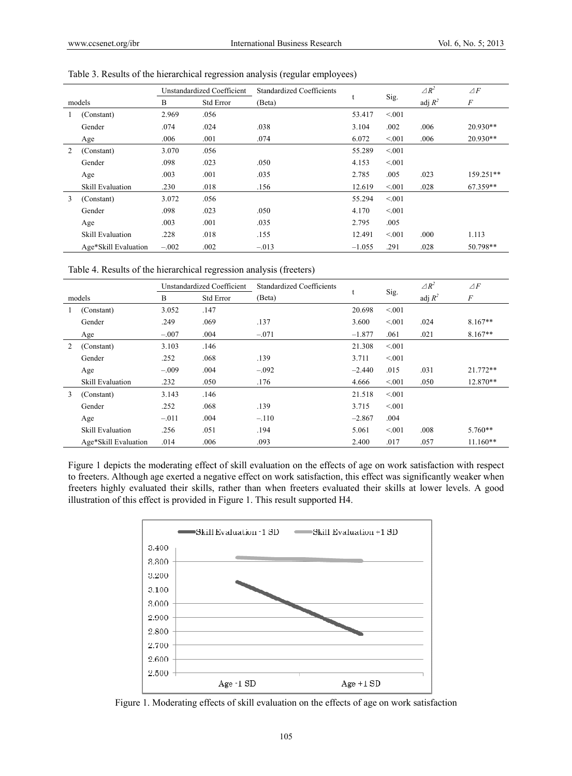| models |                         | Unstandardized Coefficient |                  | <b>Standardized Coefficients</b> |          |        | $\triangle R^2$ | $\triangle F$    |
|--------|-------------------------|----------------------------|------------------|----------------------------------|----------|--------|-----------------|------------------|
|        |                         | B                          | <b>Std Error</b> | (Beta)                           |          | Sig.   | adj $R^2$       | $\boldsymbol{F}$ |
| 1      | (Constant)              | 2.969                      | .056             |                                  | 53.417   | < 0.01 |                 |                  |
|        | Gender                  | .074                       | .024             | .038                             | 3.104    | .002   | .006            | $20.930**$       |
|        | Age                     | .006                       | .001             | .074                             | 6.072    | < 0.01 | .006            | $20.930**$       |
| 2      | (Constant)              | 3.070                      | .056             |                                  | 55.289   | < 0.01 |                 |                  |
|        | Gender                  | .098                       | .023             | .050                             | 4.153    | < 0.01 |                 |                  |
|        | Age                     | .003                       | .001             | .035                             | 2.785    | .005   | .023            | 159.251**        |
|        | <b>Skill Evaluation</b> | .230                       | .018             | .156                             | 12.619   | < 0.01 | .028            | 67.359**         |
| 3      | (Constant)              | 3.072                      | .056             |                                  | 55.294   | < 0.01 |                 |                  |
|        | Gender                  | .098                       | .023             | .050                             | 4.170    | < 0.01 |                 |                  |
|        | Age                     | .003                       | .001             | .035                             | 2.795    | .005   |                 |                  |
|        | Skill Evaluation        | .228                       | .018             | .155                             | 12.491   | < 0.01 | .000            | 1.113            |
|        | Age*Skill Evaluation    | $-.002$                    | .002             | $-.013$                          | $-1.055$ | .291   | .028            | 50.798**         |

Table 3. Results of the hierarchical regression analysis (regular employees)

Table 4. Results of the hierarchical regression analysis (freeters)

| models |                                                                                                                    | Unstandardized Coefficient |           | <b>Standardized Coefficients</b> |          |        | $\triangle R^2$ | $\triangle F$ |  |
|--------|--------------------------------------------------------------------------------------------------------------------|----------------------------|-----------|----------------------------------|----------|--------|-----------------|---------------|--|
|        |                                                                                                                    | B                          | Std Error | (Beta)                           | t        | Sig.   | adj $R^2$       | $\cal F$      |  |
|        | (Constant)                                                                                                         | 3.052                      | .147      |                                  | 20.698   | < 0.01 |                 |               |  |
|        | Gender                                                                                                             | .249                       | .069      | .137                             | 3.600    | < 0.01 | .024            | $8.167**$     |  |
|        | Age                                                                                                                | $-.007$                    | .004      | $-.071$                          | $-1.877$ | .061   | .021            | $8.167**$     |  |
| 2      | (Constant)                                                                                                         | 3.103                      | .146      |                                  | 21.308   | < 001  |                 |               |  |
|        | Gender                                                                                                             | .252                       | .068      | .139                             | 3.711    | < 0.01 |                 |               |  |
|        | Age                                                                                                                | $-.009$                    | .004      | $-.092$                          | $-2.440$ | .015   | .031            | 21.772**      |  |
|        | <b>Skill Evaluation</b>                                                                                            | .232                       | .050      | .176                             | 4.666    | < 001  | .050            | 12.870**      |  |
| 3      | (Constant)                                                                                                         | 3.143                      | .146      |                                  | 21.518   | < 0.01 |                 |               |  |
|        | Gender                                                                                                             | .252                       | .068      | .139                             | 3.715    | < 0.01 |                 |               |  |
|        | Age                                                                                                                | $-.011$                    | .004      | $-.110$                          | $-2.867$ | .004   |                 |               |  |
|        | Skill Evaluation                                                                                                   | .256                       | .051      | .194                             | 5.061    | < 0.01 | .008            | $5.760**$     |  |
|        | Age*Skill Evaluation                                                                                               | .014                       | .006      | .093                             | 2.400    | .017   | .057            | $11.160**$    |  |
|        | Figure 1 depicts the moderating effect of skill evaluation on the effects of age on work satisfaction with respect |                            |           |                                  |          |        |                 |               |  |

to freeters. Although age exerted a negative effect on work satisfaction, this effect was significantly weaker when freeters highly evaluated their skills, rather than when freeters evaluated their skills at lower levels. A good illustration of this effect is provided in Figure 1. This result supported H4.



Figure 1. Moderating effects of skill evaluation on the effects of age on work satisfaction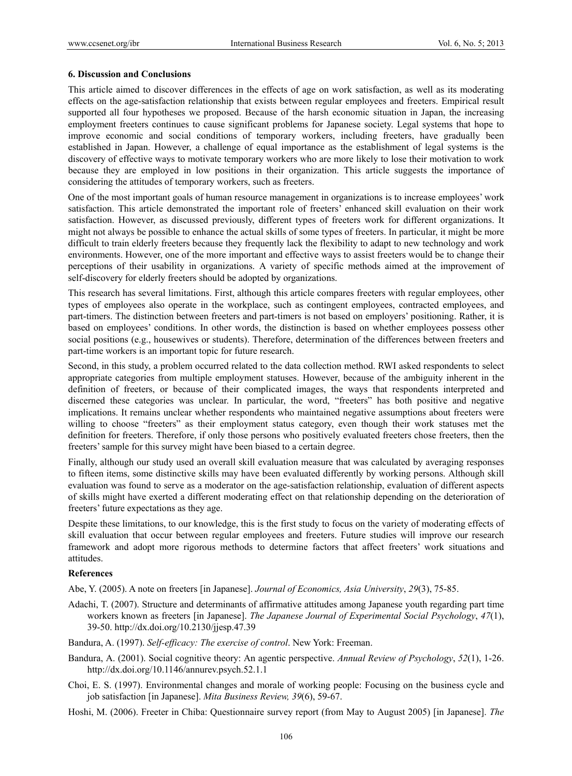#### **6. Discussion and Conclusions**

This article aimed to discover differences in the effects of age on work satisfaction, as well as its moderating effects on the age-satisfaction relationship that exists between regular employees and freeters. Empirical result supported all four hypotheses we proposed. Because of the harsh economic situation in Japan, the increasing employment freeters continues to cause significant problems for Japanese society. Legal systems that hope to improve economic and social conditions of temporary workers, including freeters, have gradually been established in Japan. However, a challenge of equal importance as the establishment of legal systems is the discovery of effective ways to motivate temporary workers who are more likely to lose their motivation to work because they are employed in low positions in their organization. This article suggests the importance of considering the attitudes of temporary workers, such as freeters.

One of the most important goals of human resource management in organizations is to increase employees' work satisfaction. This article demonstrated the important role of freeters' enhanced skill evaluation on their work satisfaction. However, as discussed previously, different types of freeters work for different organizations. It might not always be possible to enhance the actual skills of some types of freeters. In particular, it might be more difficult to train elderly freeters because they frequently lack the flexibility to adapt to new technology and work environments. However, one of the more important and effective ways to assist freeters would be to change their perceptions of their usability in organizations. A variety of specific methods aimed at the improvement of self-discovery for elderly freeters should be adopted by organizations.

This research has several limitations. First, although this article compares freeters with regular employees, other types of employees also operate in the workplace, such as contingent employees, contracted employees, and part-timers. The distinction between freeters and part-timers is not based on employers' positioning. Rather, it is based on employees' conditions. In other words, the distinction is based on whether employees possess other social positions (e.g., housewives or students). Therefore, determination of the differences between freeters and part-time workers is an important topic for future research.

Second, in this study, a problem occurred related to the data collection method. RWI asked respondents to select appropriate categories from multiple employment statuses. However, because of the ambiguity inherent in the definition of freeters, or because of their complicated images, the ways that respondents interpreted and discerned these categories was unclear. In particular, the word, "freeters" has both positive and negative implications. It remains unclear whether respondents who maintained negative assumptions about freeters were willing to choose "freeters" as their employment status category, even though their work statuses met the definition for freeters. Therefore, if only those persons who positively evaluated freeters chose freeters, then the freeters' sample for this survey might have been biased to a certain degree.

Finally, although our study used an overall skill evaluation measure that was calculated by averaging responses to fifteen items, some distinctive skills may have been evaluated differently by working persons. Although skill evaluation was found to serve as a moderator on the age-satisfaction relationship, evaluation of different aspects of skills might have exerted a different moderating effect on that relationship depending on the deterioration of freeters' future expectations as they age.

Despite these limitations, to our knowledge, this is the first study to focus on the variety of moderating effects of skill evaluation that occur between regular employees and freeters. Future studies will improve our research framework and adopt more rigorous methods to determine factors that affect freeters' work situations and attitudes.

#### **References**

Abe, Y. (2005). A note on freeters [in Japanese]. *Journal of Economics, Asia University*, *29*(3), 75-85.

- Adachi, T. (2007). Structure and determinants of affirmative attitudes among Japanese youth regarding part time workers known as freeters [in Japanese]. *The Japanese Journal of Experimental Social Psychology*, *47*(1), 39-50. http://dx.doi.org/10.2130/jjesp.47.39
- Bandura, A. (1997). *Self-efficacy: The exercise of control*. New York: Freeman.
- Bandura, A. (2001). Social cognitive theory: An agentic perspective. *Annual Review of Psychology*, *52*(1), 1-26. http://dx.doi.org/10.1146/annurev.psych.52.1.1
- Choi, E. S. (1997). Environmental changes and morale of working people: Focusing on the business cycle and job satisfaction [in Japanese]. *Mita Business Review, 39*(6), 59-67.

Hoshi, M. (2006). Freeter in Chiba: Questionnaire survey report (from May to August 2005) [in Japanese]. *The*